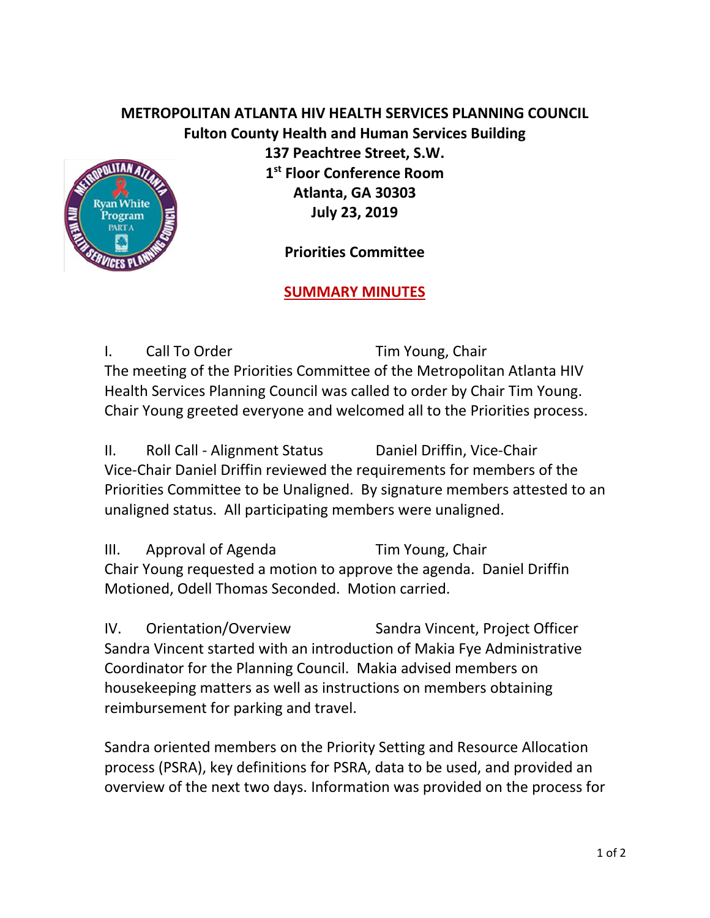## **METROPOLITAN ATLANTA HIV HEALTH SERVICES PLANNING COUNCIL Fulton County Health and Human Services Building**



**137 Peachtree Street, S.W. 1 st Floor Conference Room Atlanta, GA 30303 July 23, 2019**

**Priorities Committee** 

## **SUMMARY MINUTES**

I. Call To Order Tim Young, Chair The meeting of the Priorities Committee of the Metropolitan Atlanta HIV Health Services Planning Council was called to order by Chair Tim Young. Chair Young greeted everyone and welcomed all to the Priorities process.

II. Roll Call - Alignment Status Daniel Driffin, Vice-Chair Vice-Chair Daniel Driffin reviewed the requirements for members of the Priorities Committee to be Unaligned. By signature members attested to an unaligned status. All participating members were unaligned.

III. Approval of Agenda Tim Young, Chair Chair Young requested a motion to approve the agenda. Daniel Driffin Motioned, Odell Thomas Seconded. Motion carried.

IV. Orientation/Overview Sandra Vincent, Project Officer Sandra Vincent started with an introduction of Makia Fye Administrative Coordinator for the Planning Council. Makia advised members on housekeeping matters as well as instructions on members obtaining reimbursement for parking and travel.

Sandra oriented members on the Priority Setting and Resource Allocation process (PSRA), key definitions for PSRA, data to be used, and provided an overview of the next two days. Information was provided on the process for